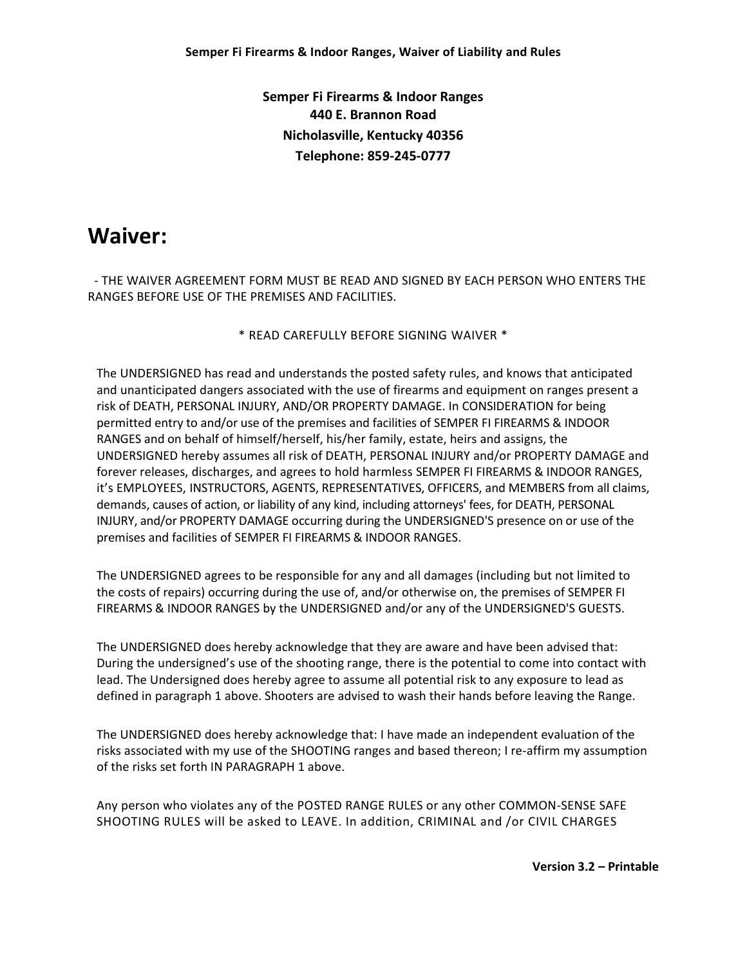**Semper Fi Firearms & Indoor Ranges 440 E. Brannon Road Nicholasville, Kentucky 40356 Telephone: 859-245-0777**

# **Waiver:**

 - THE WAIVER AGREEMENT FORM MUST BE READ AND SIGNED BY EACH PERSON WHO ENTERS THE RANGES BEFORE USE OF THE PREMISES AND FACILITIES.

\* READ CAREFULLY BEFORE SIGNING WAIVER \*

The UNDERSIGNED has read and understands the posted safety rules, and knows that anticipated and unanticipated dangers associated with the use of firearms and equipment on ranges present a risk of DEATH, PERSONAL INJURY, AND/OR PROPERTY DAMAGE. In CONSIDERATION for being permitted entry to and/or use of the premises and facilities of SEMPER FI FIREARMS & INDOOR RANGES and on behalf of himself/herself, his/her family, estate, heirs and assigns, the UNDERSIGNED hereby assumes all risk of DEATH, PERSONAL INJURY and/or PROPERTY DAMAGE and forever releases, discharges, and agrees to hold harmless SEMPER FI FIREARMS & INDOOR RANGES, it's EMPLOYEES, INSTRUCTORS, AGENTS, REPRESENTATIVES, OFFICERS, and MEMBERS from all claims, demands, causes of action, or liability of any kind, including attorneys' fees, for DEATH, PERSONAL INJURY, and/or PROPERTY DAMAGE occurring during the UNDERSIGNED'S presence on or use of the premises and facilities of SEMPER FI FIREARMS & INDOOR RANGES.

The UNDERSIGNED agrees to be responsible for any and all damages (including but not limited to the costs of repairs) occurring during the use of, and/or otherwise on, the premises of SEMPER FI FIREARMS & INDOOR RANGES by the UNDERSIGNED and/or any of the UNDERSIGNED'S GUESTS.

The UNDERSIGNED does hereby acknowledge that they are aware and have been advised that: During the undersigned's use of the shooting range, there is the potential to come into contact with lead. The Undersigned does hereby agree to assume all potential risk to any exposure to lead as defined in paragraph 1 above. Shooters are advised to wash their hands before leaving the Range.

The UNDERSIGNED does hereby acknowledge that: I have made an independent evaluation of the risks associated with my use of the SHOOTING ranges and based thereon; I re-affirm my assumption of the risks set forth IN PARAGRAPH 1 above.

Any person who violates any of the POSTED RANGE RULES or any other COMMON-SENSE SAFE SHOOTING RULES will be asked to LEAVE. In addition, CRIMINAL and /or CIVIL CHARGES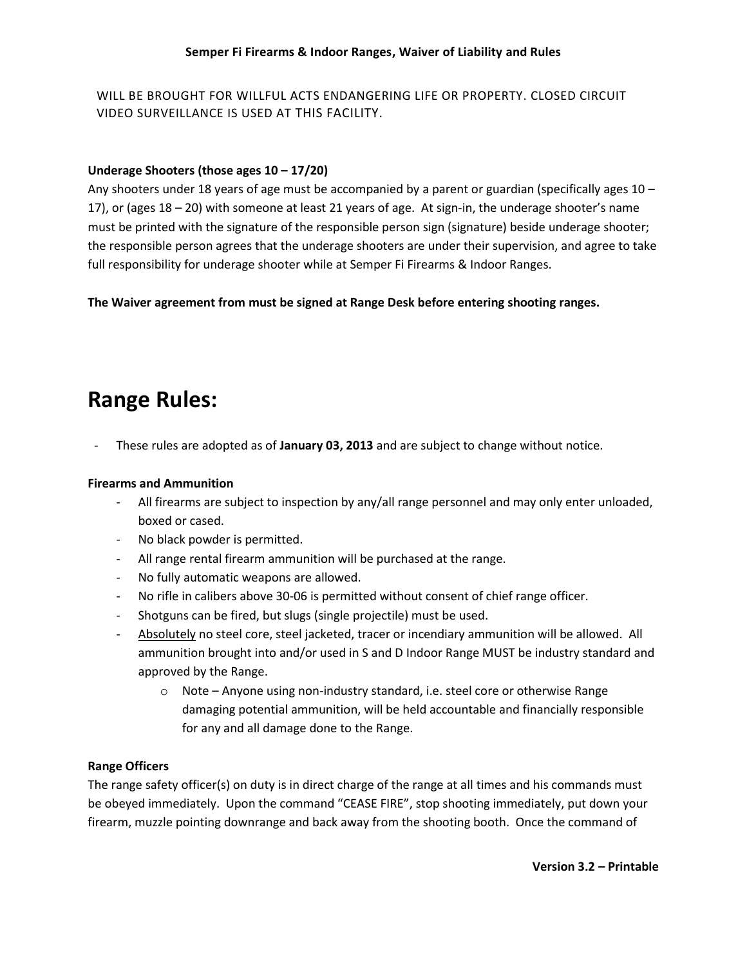WILL BE BROUGHT FOR WILLFUL ACTS ENDANGERING LIFE OR PROPERTY. CLOSED CIRCUIT VIDEO SURVEILLANCE IS USED AT THIS FACILITY.

## **Underage Shooters (those ages 10 – 17/20)**

Any shooters under 18 years of age must be accompanied by a parent or guardian (specifically ages 10 – 17), or (ages 18 – 20) with someone at least 21 years of age. At sign-in, the underage shooter's name must be printed with the signature of the responsible person sign (signature) beside underage shooter; the responsible person agrees that the underage shooters are under their supervision, and agree to take full responsibility for underage shooter while at Semper Fi Firearms & Indoor Ranges.

**The Waiver agreement from must be signed at Range Desk before entering shooting ranges.**

# **Range Rules:**

- These rules are adopted as of **January 03, 2013** and are subject to change without notice.

#### **Firearms and Ammunition**

- All firearms are subject to inspection by any/all range personnel and may only enter unloaded, boxed or cased.
- No black powder is permitted.
- All range rental firearm ammunition will be purchased at the range.
- No fully automatic weapons are allowed.
- No rifle in calibers above 30-06 is permitted without consent of chief range officer.
- Shotguns can be fired, but slugs (single projectile) must be used.
- Absolutely no steel core, steel jacketed, tracer or incendiary ammunition will be allowed. All ammunition brought into and/or used in S and D Indoor Range MUST be industry standard and approved by the Range.
	- o Note Anyone using non-industry standard, i.e. steel core or otherwise Range damaging potential ammunition, will be held accountable and financially responsible for any and all damage done to the Range.

### **Range Officers**

The range safety officer(s) on duty is in direct charge of the range at all times and his commands must be obeyed immediately. Upon the command "CEASE FIRE", stop shooting immediately, put down your firearm, muzzle pointing downrange and back away from the shooting booth. Once the command of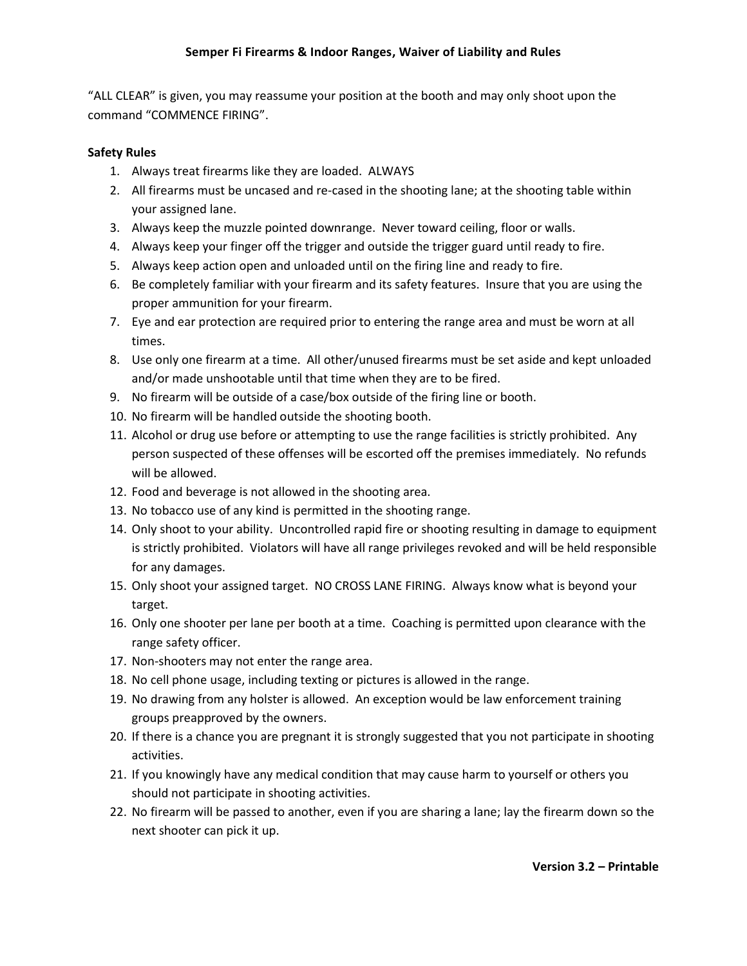"ALL CLEAR" is given, you may reassume your position at the booth and may only shoot upon the command "COMMENCE FIRING".

### **Safety Rules**

- 1. Always treat firearms like they are loaded. ALWAYS
- 2. All firearms must be uncased and re-cased in the shooting lane; at the shooting table within your assigned lane.
- 3. Always keep the muzzle pointed downrange. Never toward ceiling, floor or walls.
- 4. Always keep your finger off the trigger and outside the trigger guard until ready to fire.
- 5. Always keep action open and unloaded until on the firing line and ready to fire.
- 6. Be completely familiar with your firearm and its safety features. Insure that you are using the proper ammunition for your firearm.
- 7. Eye and ear protection are required prior to entering the range area and must be worn at all times.
- 8. Use only one firearm at a time. All other/unused firearms must be set aside and kept unloaded and/or made unshootable until that time when they are to be fired.
- 9. No firearm will be outside of a case/box outside of the firing line or booth.
- 10. No firearm will be handled outside the shooting booth.
- 11. Alcohol or drug use before or attempting to use the range facilities is strictly prohibited. Any person suspected of these offenses will be escorted off the premises immediately. No refunds will be allowed.
- 12. Food and beverage is not allowed in the shooting area.
- 13. No tobacco use of any kind is permitted in the shooting range.
- 14. Only shoot to your ability. Uncontrolled rapid fire or shooting resulting in damage to equipment is strictly prohibited. Violators will have all range privileges revoked and will be held responsible for any damages.
- 15. Only shoot your assigned target. NO CROSS LANE FIRING. Always know what is beyond your target.
- 16. Only one shooter per lane per booth at a time. Coaching is permitted upon clearance with the range safety officer.
- 17. Non-shooters may not enter the range area.
- 18. No cell phone usage, including texting or pictures is allowed in the range.
- 19. No drawing from any holster is allowed. An exception would be law enforcement training groups preapproved by the owners.
- 20. If there is a chance you are pregnant it is strongly suggested that you not participate in shooting activities.
- 21. If you knowingly have any medical condition that may cause harm to yourself or others you should not participate in shooting activities.
- 22. No firearm will be passed to another, even if you are sharing a lane; lay the firearm down so the next shooter can pick it up.